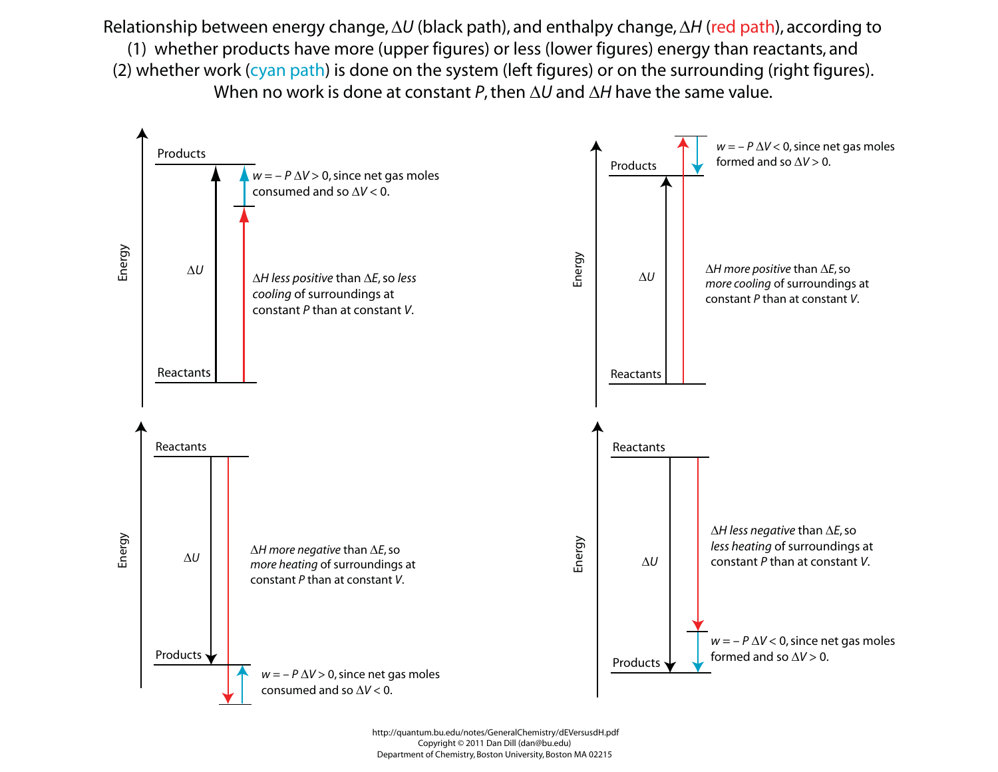Relationship between energy change, ΔU (black path), and enthalpy change, ΔH (red path), according to (1) whether products have more (upper figures) or less (lower figures) energy than reactants, and (2) whether work (cyan path) is done on the system (left figures) or on the surrounding (right figures). When no work is done at constant *P*, then  $\Delta U$  and  $\Delta H$  have the same value.